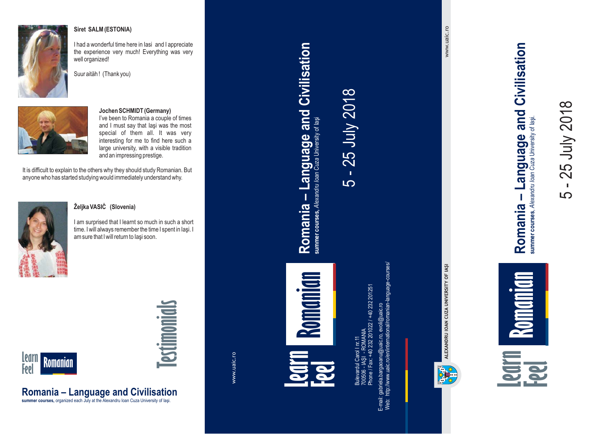

#### **Siret SALM (ESTONIA)**

I had <sup>a</sup> wonderful time here in Iasi and I appreciate the experience very much! Everything was very well organized!





#### **Jochen SCHMIDT (Germany)**

I've been to Romania <sup>a</sup> couple of times and I must say that Iaşi was the most special of them all. It was very interesting for me to find here such <sup>a</sup> large university, with <sup>a</sup> visible tradition and an impressing prestige.

It is difficult to explain to the others why they should study Romanian. But anyone who has started studying would immediately understand why.



#### **Željka VASIĊ (Slovenia)**

**Romania – Language and Civilisation summer courses,** organized each July at the Alexandru Ioan Cuza University of Iaşi.

I am surprised that I learnt so much in such <sup>a</sup> short time. I will always remember the time I spent in Iaşi. I am sure that I will return to Iaşi soon.



# **Testimonials**

www.uaic.ro

**Learn Feel Feel Romanian**<br>The straight of the straight of the straight of the straight of the straight of the straight of the straight of the straight of the straight of the straight of the straight of the straight of the straight o **Romanian**

**Romania – Language and Civilisation**

Romania - Language and Civilisation

summer courses, Alexandru Ioan Cuza University of laşi

5 - 25 July 2018

 $\mathbf{r}$ **LO** 

25 July 2018

Bulevardul Carol I nr. 11 Phone / Fax: +40 232 201022 / +40 232 201251  $\equiv$ - IAŞI - ROMANIA 232 201022 700506

courses/ Web: http://www.uaic.ro/en/international/romanian-language-courses/ E-mail: gabriela.bargaoanu@uaic.ro, evoli@uaic.ro



www.uaic.ro www.uaic.ro

Language and Civilisation **Romania – Language and Civilisation** summer courses, Alexandru Ioan Cuza University of lasi. summer courses, Alexandru Ioan Cuza University of Iaşi. Romania -

 $\overline{D}$ 

 $\mathbb{R}^2$ 

- 25 July 2018

25 July 2018